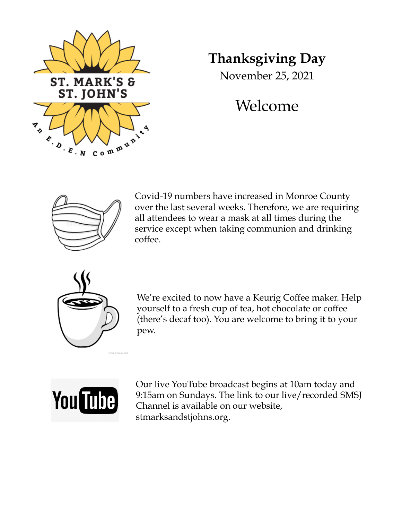

# **Thanksgiving Day**

November 25, 2021

# Welcome



Covid-19 numbers have increased in Monroe County over the last several weeks. Therefore, we are requiring all attendees to wear a mask at all times during the service except when taking communion and drinking coffee.



We're excited to now have a Keurig Coffee maker. Help yourself to a fresh cup of tea, hot chocolate or coffee (there's decaf too). You are welcome to bring it to your pew.



Our live YouTube broadcast begins at 10am today and 9:15am on Sundays. The link to our live/recorded SMSJ Channel is available on our website, stmarksandstjohns.org.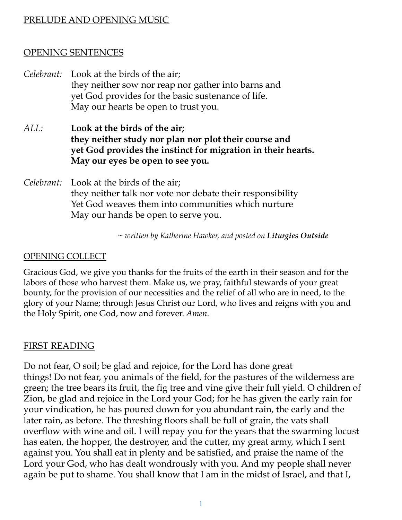# PRELUDE AND OPENING MUSIC

# OPENING SENTENCES

- *Celebrant:* Look at the birds of the air; they neither sow nor reap nor gather into barns and yet God provides for the basic sustenance of life. May our hearts be open to trust you.
- *ALL:* **Look at the birds of the air; they neither study nor plan nor plot their course and yet God provides the instinct for migration in their hearts. May our eyes be open to see you.**
- *Celebrant:* Look at the birds of the air; they neither talk nor vote nor debate their responsibility Yet God weaves them into communities which nurture May our hands be open to serve you.

*~ written by Katherine Hawker, and posted on Liturgies Outside*

#### OPENING COLLECT

Gracious God, we give you thanks for the fruits of the earth in their season and for the labors of those who harvest them. Make us, we pray, faithful stewards of your great bounty, for the provision of our necessities and the relief of all who are in need, to the glory of your Name; through Jesus Christ our Lord, who lives and reigns with you and the Holy Spirit, one God, now and forever. *Amen.*

#### FIRST READING

Do not fear, O soil; be glad and rejoice, for the Lord has done great things! Do not fear, you animals of the field, for the pastures of the wilderness are green; the tree bears its fruit, the fig tree and vine give their full yield. O children of Zion, be glad and rejoice in the Lord your God; for he has given the early rain for your vindication, he has poured down for you abundant rain, the early and the later rain, as before. The threshing floors shall be full of grain, the vats shall overflow with wine and oil. I will repay you for the years that the swarming locust has eaten, the hopper, the destroyer, and the cutter, my great army, which I sent against you. You shall eat in plenty and be satisfied, and praise the name of the Lord your God, who has dealt wondrously with you. And my people shall never again be put to shame. You shall know that I am in the midst of Israel, and that I,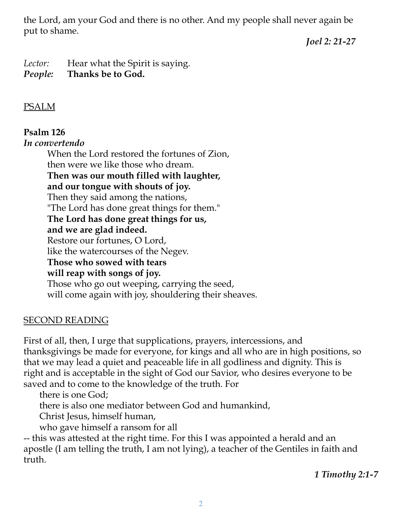the Lord, am your God and there is no other. And my people shall never again be put to shame.

*Joel 2: 21-27*

Lector: Hear what the Spirit is saying. *People:* **Thanks be to God.**

# PSALM

# **Psalm 126**

# *In convertendo*

When the Lord restored the fortunes of Zion, then were we like those who dream. **Then was our mouth filled with laughter, and our tongue with shouts of joy.** Then they said among the nations, "The Lord has done great things for them." **The Lord has done great things for us, and we are glad indeed.** Restore our fortunes, O Lord, like the watercourses of the Negev. **Those who sowed with tears will reap with songs of joy.** Those who go out weeping, carrying the seed, will come again with joy, shouldering their sheaves.

# SECOND READING

First of all, then, I urge that supplications, prayers, intercessions, and thanksgivings be made for everyone, for kings and all who are in high positions, so that we may lead a quiet and peaceable life in all godliness and dignity. This is right and is acceptable in the sight of God our Savior, who desires everyone to be saved and to come to the knowledge of the truth. For

there is one God;

there is also one mediator between God and humankind,

Christ Jesus, himself human,

who gave himself a ransom for all

-- this was attested at the right time. For this I was appointed a herald and an apostle (I am telling the truth, I am not lying), a teacher of the Gentiles in faith and truth.

*1 Timothy 2:1-7*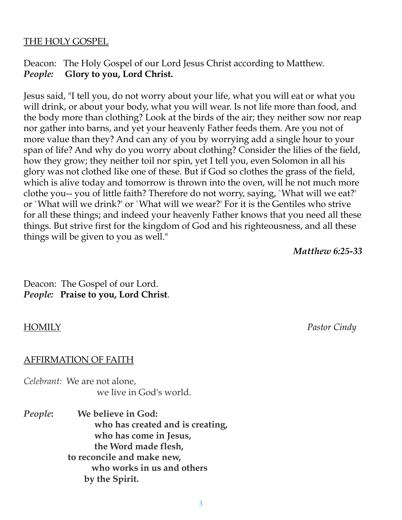#### THE HOLY GOSPEL

# Deacon: The Holy Gospel of our Lord Jesus Christ according to Matthew. *People:* **Glory to you, Lord Christ.**

Jesus said, "I tell you, do not worry about your life, what you will eat or what you will drink, or about your body, what you will wear. Is not life more than food, and the body more than clothing? Look at the birds of the air; they neither sow nor reap nor gather into barns, and yet your heavenly Father feeds them. Are you not of more value than they? And can any of you by worrying add a single hour to your span of life? And why do you worry about clothing? Consider the lilies of the field, how they grow; they neither toil nor spin, yet I tell you, even Solomon in all his glory was not clothed like one of these. But if God so clothes the grass of the field, which is alive today and tomorrow is thrown into the oven, will he not much more clothe you-- you of little faith? Therefore do not worry, saying, `What will we eat?' or `What will we drink?' or `What will we wear?' For it is the Gentiles who strive for all these things; and indeed your heavenly Father knows that you need all these things. But strive first for the kingdom of God and his righteousness, and all these things will be given to you as well."

*Matthew 6:25-33*

Deacon: The Gospel of our Lord. *People:* **Praise to you, Lord Christ**.

#### AFFIRMATION OF FAITH

*Celebrant:* We are not alone, we live in God's world.

*People***: We believe in God: who has created and is creating, who has come in Jesus, the Word made flesh, to reconcile and make new, who works in us and others by the Spirit.**

HOMILY *Pastor Cindy*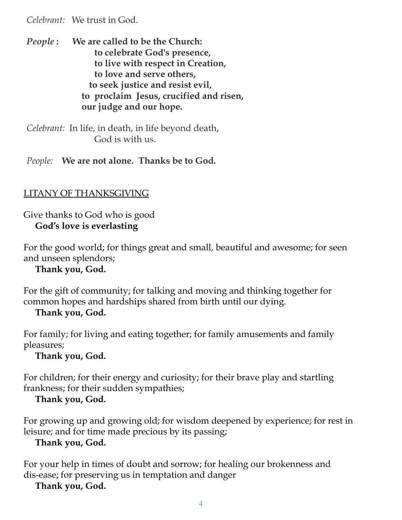*Celebrant:* We trust in God.

*People* **: We are called to be the Church: to celebrate God's presence, to live with respect in Creation, to love and serve others, to seek justice and resist evil, to proclaim Jesus, crucified and risen, our judge and our hope.**

*Celebrant:* In life, in death, in life beyond death, God is with us.

*People:* **We are not alone. Thanks be to God.**

# LITANY OF THANKSGIVING

Give thanks to God who is good **God's love is everlasting**

For the good world; for things great and small, beautiful and awesome; for seen and unseen splendors;

**Thank you, God.**

For the gift of community; for talking and moving and thinking together for common hopes and hardships shared from birth until our dying.

# **Thank you, God.**

For family; for living and eating together; for family amusements and family pleasures;

**Thank you, God.**

For children; for their energy and curiosity; for their brave play and startling frankness; for their sudden sympathies;

# **Thank you, God.**

For growing up and growing old; for wisdom deepened by experience; for rest in leisure; and for time made precious by its passing; **Thank you, God.**

For your help in times of doubt and sorrow; for healing our brokenness and dis-ease; for preserving us in temptation and danger

**Thank you, God.**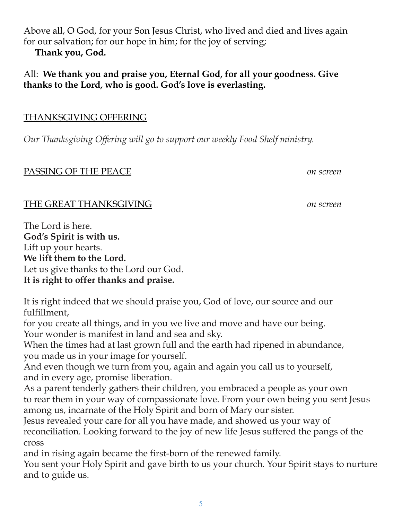Above all, O God, for your Son Jesus Christ, who lived and died and lives again for our salvation; for our hope in him; for the joy of serving;

**Thank you, God.**

# All: **We thank you and praise you, Eternal God, for all your goodness. Give thanks to the Lord, who is good. God's love is everlasting.**

# THANKSGIVING OFFERING

*Our Thanksgiving Of ering will go to support our weekly Food Shelf ministry.*

# PASSING OF THE PEACE *on screen*

# THE GREAT THANKSGIVING *on screen*

The Lord is here. **God's Spirit is with us.** Lift up your hearts. **We lift them to the Lord.** Let us give thanks to the Lord our God. **It is right to offer thanks and praise.**

It is right indeed that we should praise you, God of love, our source and our fulfillment,

for you create all things, and in you we live and move and have our being. Your wonder is manifest in land and sea and sky.

When the times had at last grown full and the earth had ripened in abundance, you made us in your image for yourself.

And even though we turn from you, again and again you call us to yourself, and in every age, promise liberation.

As a parent tenderly gathers their children, you embraced a people as your own to rear them in your way of compassionate love. From your own being you sent Jesus among us, incarnate of the Holy Spirit and born of Mary our sister.

Jesus revealed your care for all you have made, and showed us your way of reconciliation. Looking forward to the joy of new life Jesus suffered the pangs of the cross

and in rising again became the first-born of the renewed family. You sent your Holy Spirit and gave birth to us your church. Your Spirit stays to nurture and to guide us.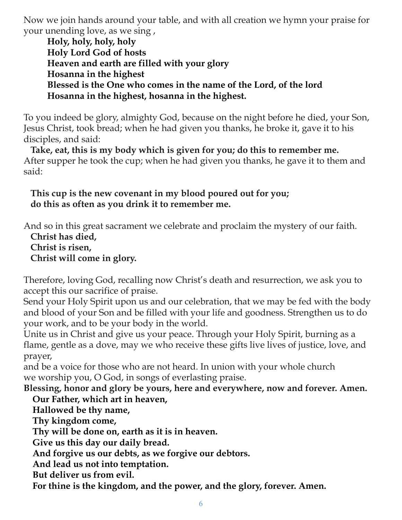Now we join hands around your table, and with all creation we hymn your praise for your unending love, as we sing ,

**Holy, holy, holy, holy Holy Lord God of hosts Heaven and earth are filled with your glory Hosanna in the highest Blessed is the One who comes in the name of the Lord, of the lord Hosanna in the highest, hosanna in the highest.**

To you indeed be glory, almighty God, because on the night before he died, your Son, Jesus Christ, took bread; when he had given you thanks, he broke it, gave it to his disciples, and said:

**Take, eat, this is my body which is given for you; do this to remember me.** After supper he took the cup; when he had given you thanks, he gave it to them and said:

**This cup is the new covenant in my blood poured out for you; do this as often as you drink it to remember me.**

And so in this great sacrament we celebrate and proclaim the mystery of our faith.

**Christ has died,**

**Christ is risen,**

**Christ will come in glory.**

Therefore, loving God, recalling now Christ's death and resurrection, we ask you to accept this our sacrifice of praise.

Send your Holy Spirit upon us and our celebration, that we may be fed with the body and blood of your Son and be filled with your life and goodness. Strengthen us to do your work, and to be your body in the world.

Unite us in Christ and give us your peace. Through your Holy Spirit, burning as a flame, gentle as a dove, may we who receive these gifts live lives of justice, love, and prayer,

and be a voice for those who are not heard. In union with your whole church we worship you, O God, in songs of everlasting praise.

### **Blessing, honor and glory be yours, here and everywhere, now and forever. Amen. Our Father, which art in heaven,**

**Hallowed be thy name,**

**Thy kingdom come,**

**Thy will be done on, earth as it is in heaven.**

**Give us this day our daily bread.**

**And forgive us our debts, as we forgive our debtors.**

**And lead us not into temptation.**

**But deliver us from evil.**

**For thine is the kingdom, and the power, and the glory, forever. Amen.**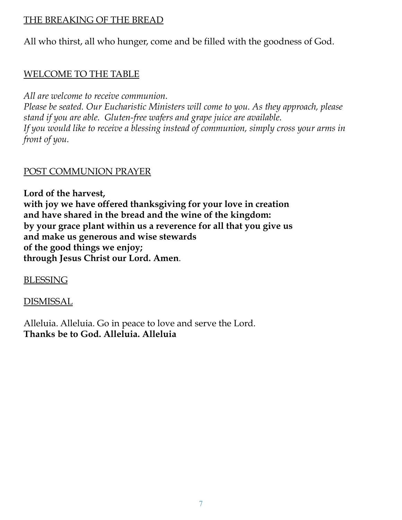# THE BREAKING OF THE BREAD

All who thirst, all who hunger, come and be filled with the goodness of God.

# WELCOME TO THE TABLE

*All are welcome to receive communion.*

*Please be seated. Our Eucharistic Ministers will come to you. As they approach, please stand if you are able. Gluten-free wafers and grape juice are available. If you would like to receive a blessing instead of communion, simply cross your arms in front of you.*

# POST COMMUNION PRAYER

**Lord of the harvest, with joy we have offered thanksgiving for your love in creation and have shared in the bread and the wine of the kingdom: by your grace plant within us a reverence for all that you give us and make us generous and wise stewards of the good things we enjoy; through Jesus Christ our Lord. Amen**.

**BLESSING** 

DISMISSAL

Alleluia. Alleluia. Go in peace to love and serve the Lord. **Thanks be to God. Alleluia. Alleluia**